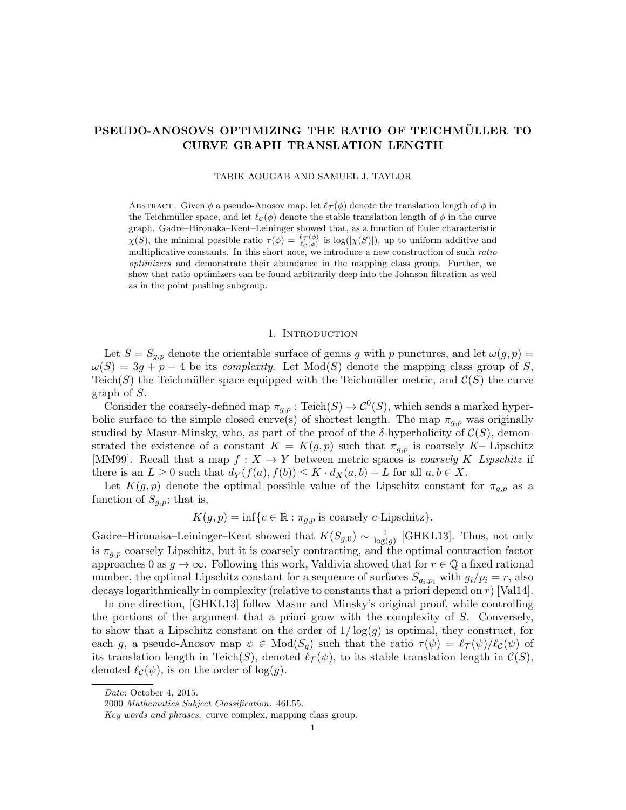# PSEUDO-ANOSOVS OPTIMIZING THE RATIO OF TEICHMÜLLER TO CURVE GRAPH TRANSLATION LENGTH

TARIK AOUGAB AND SAMUEL J. TAYLOR

ABSTRACT. Given  $\phi$  a pseudo-Anosov map, let  $\ell_{\mathcal{T}} (\phi)$  denote the translation length of  $\phi$  in the Teichmüller space, and let  $\ell_c(\phi)$  denote the stable translation length of  $\phi$  in the curve graph. Gadre–Hironaka–Kent–Leininger showed that, as a function of Euler characteristic  $\chi(S)$ , the minimal possible ratio  $\tau(\phi) = \frac{\ell \tau(\phi)}{\ell c(\phi)}$  is log( $|\chi(S)|$ ), up to uniform additive and multiplicative constants. In this short note, we introduce a new construction of such ratio optimizers and demonstrate their abundance in the mapping class group. Further, we show that ratio optimizers can be found arbitrarily deep into the Johnson filtration as well as in the point pushing subgroup.

### 1. INTRODUCTION

Let  $S = S_{g,p}$  denote the orientable surface of genus g with p punctures, and let  $\omega(g, p)$  $\omega(S) = 3g + p - 4$  be its *complexity*. Let Mod(S) denote the mapping class group of S, Teich(S) the Teichmüller space equipped with the Teichmüller metric, and  $\mathcal{C}(S)$  the curve graph of S.

Consider the coarsely-defined map  $\pi_{g,p} : \text{Teich}(S) \to C^0(S)$ , which sends a marked hyperbolic surface to the simple closed curve(s) of shortest length. The map  $\pi_{q,p}$  was originally studied by Masur-Minsky, who, as part of the proof of the  $\delta$ -hyperbolicity of  $\mathcal{C}(S)$ , demonstrated the existence of a constant  $K = K(g, p)$  such that  $\pi_{g, p}$  is coarsely K– Lipschitz [MM99]. Recall that a map  $f: X \to Y$  between metric spaces is *coarsely K–Lipschitz* if there is an  $L \geq 0$  such that  $d_Y(f(a), f(b)) \leq K \cdot d_X(a, b) + L$  for all  $a, b \in X$ .

Let  $K(g, p)$  denote the optimal possible value of the Lipschitz constant for  $\pi_{g,p}$  as a function of  $S_{g,p}$ ; that is,

 $K(g, p) = \inf\{c \in \mathbb{R} : \pi_{g, p} \text{ is coarsely } c\text{-Lipschitz}\}.$ 

Gadre–Hironaka–Leininger–Kent showed that  $K(S_{g,0}) \sim \frac{1}{\log n}$  $\frac{1}{\log(g)}$  [GHKL13]. Thus, not only is  $\pi_{q,p}$  coarsely Lipschitz, but it is coarsely contracting, and the optimal contraction factor approaches 0 as  $g \to \infty$ . Following this work, Valdivia showed that for  $r \in \mathbb{Q}$  a fixed rational number, the optimal Lipschitz constant for a sequence of surfaces  $S_{g_i,p_i}$  with  $g_i/p_i = r$ , also decays logarithmically in complexity (relative to constants that a priori depend on r) [Val14].

In one direction, [GHKL13] follow Masur and Minsky's original proof, while controlling the portions of the argument that a priori grow with the complexity of S. Conversely, to show that a Lipschitz constant on the order of  $1/\log(q)$  is optimal, they construct, for each g, a pseudo-Anosov map  $\psi \in Mod(S_q)$  such that the ratio  $\tau(\psi) = \ell \tau(\psi)/\ell(\psi)$  of its translation length in Teich(S), denoted  $\ell_{\mathcal{T}}(\psi)$ , to its stable translation length in  $\mathcal{C}(S)$ , denoted  $\ell_{\mathcal{C}}(\psi)$ , is on the order of log(g).

Date: October 4, 2015.

<sup>2000</sup> Mathematics Subject Classification. 46L55.

Key words and phrases. curve complex, mapping class group.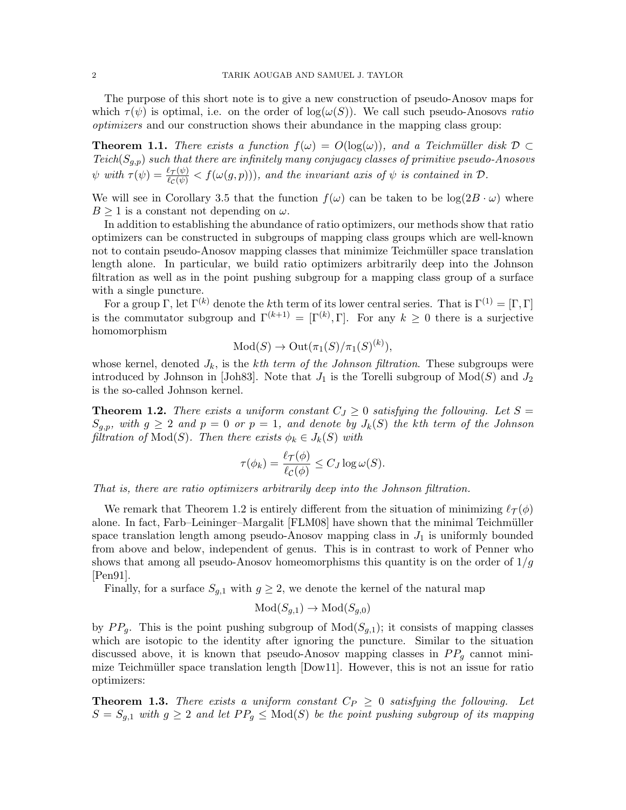The purpose of this short note is to give a new construction of pseudo-Anosov maps for which  $\tau(\psi)$  is optimal, i.e. on the order of  $log(\omega(S))$ . We call such pseudo-Anosovs ratio optimizers and our construction shows their abundance in the mapping class group:

**Theorem 1.1.** There exists a function  $f(\omega) = O(\log(\omega))$ , and a Teichmüller disk  $D \subset$  $Teich(S_{q,p})$  such that there are infinitely many conjugacy classes of primitive pseudo-Anosovs  $\psi$  with  $\tau(\psi) = \frac{\ell \tau(\psi)}{\ell c(\psi)} < f(\omega(g, p)))$ , and the invariant axis of  $\psi$  is contained in  $\mathcal{D}$ .

We will see in Corollary 3.5 that the function  $f(\omega)$  can be taken to be  $\log(2B \cdot \omega)$  where  $B \geq 1$  is a constant not depending on  $\omega$ .

In addition to establishing the abundance of ratio optimizers, our methods show that ratio optimizers can be constructed in subgroups of mapping class groups which are well-known not to contain pseudo-Anosov mapping classes that minimize Teichmüller space translation length alone. In particular, we build ratio optimizers arbitrarily deep into the Johnson filtration as well as in the point pushing subgroup for a mapping class group of a surface with a single puncture.

For a group Γ, let  $\Gamma^{(k)}$  denote the kth term of its lower central series. That is  $\Gamma^{(1)} = [\Gamma, \Gamma]$ is the commutator subgroup and  $\Gamma^{(k+1)} = [\Gamma^{(k)}, \Gamma]$ . For any  $k \geq 0$  there is a surjective homomorphism

$$
Mod(S) \to Out(\pi_1(S)/\pi_1(S)^{(k)}),
$$

whose kernel, denoted  $J_k$ , is the kth term of the Johnson filtration. These subgroups were introduced by Johnson in [Joh83]. Note that  $J_1$  is the Torelli subgroup of  $Mod(S)$  and  $J_2$ is the so-called Johnson kernel.

**Theorem 1.2.** There exists a uniform constant  $C_J \geq 0$  satisfying the following. Let  $S =$  $S_{g,p}$ , with  $g \geq 2$  and  $p = 0$  or  $p = 1$ , and denote by  $J_k(S)$  the kth term of the Johnson filtration of  $Mod(S)$ . Then there exists  $\phi_k \in J_k(S)$  with

$$
\tau(\phi_k) = \frac{\ell \tau(\phi)}{\ell c(\phi)} \le C_J \log \omega(S).
$$

That is, there are ratio optimizers arbitrarily deep into the Johnson filtration.

We remark that Theorem 1.2 is entirely different from the situation of minimizing  $\ell_{\mathcal{T}}(\phi)$ alone. In fact, Farb–Leininger–Margalit [FLM08] have shown that the minimal Teichmüller space translation length among pseudo-Anosov mapping class in  $J_1$  is uniformly bounded from above and below, independent of genus. This is in contrast to work of Penner who shows that among all pseudo-Anosov homeomorphisms this quantity is on the order of  $1/g$ [Pen91].

Finally, for a surface  $S_{g,1}$  with  $g \geq 2$ , we denote the kernel of the natural map

$$
Mod(S_{g,1}) \to Mod(S_{g,0})
$$

by  $PP_q$ . This is the point pushing subgroup of  $Mod(S_{q,1})$ ; it consists of mapping classes which are isotopic to the identity after ignoring the puncture. Similar to the situation discussed above, it is known that pseudo-Anosov mapping classes in  $PP<sub>q</sub>$  cannot minimize Teichmüller space translation length  $[Down1]$ . However, this is not an issue for ratio optimizers:

**Theorem 1.3.** There exists a uniform constant  $C_P \geq 0$  satisfying the following. Let  $S = S_{q,1}$  with  $g \geq 2$  and let  $PP_q \leq Mod(S)$  be the point pushing subgroup of its mapping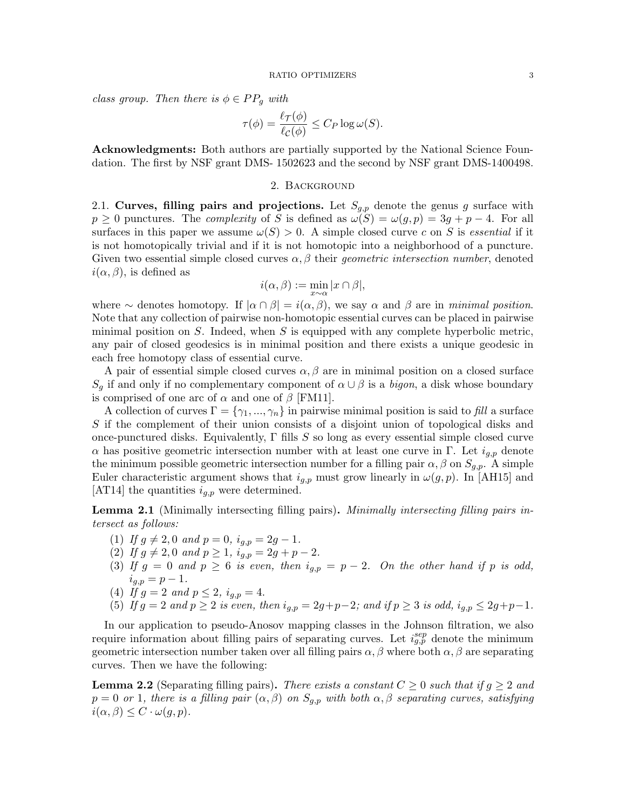class group. Then there is  $\phi \in PP_a$  with

$$
\tau(\phi) = \frac{\ell_{\mathcal{T}}(\phi)}{\ell_{\mathcal{C}}(\phi)} \leq C_P \log \omega(S).
$$

Acknowledgments: Both authors are partially supported by the National Science Foundation. The first by NSF grant DMS- 1502623 and the second by NSF grant DMS-1400498.

## 2. Background

2.1. Curves, filling pairs and projections. Let  $S_{q,p}$  denote the genus g surface with  $p \ge 0$  punctures. The *complexity* of S is defined as  $\omega(S) = \omega(g, p) = 3g + p - 4$ . For all surfaces in this paper we assume  $\omega(S) > 0$ . A simple closed curve c on S is essential if it is not homotopically trivial and if it is not homotopic into a neighborhood of a puncture. Given two essential simple closed curves  $\alpha$ ,  $\beta$  their *geometric intersection number*, denoted  $i(\alpha, \beta)$ , is defined as

$$
i(\alpha, \beta) := \min_{x \sim \alpha} |x \cap \beta|,
$$

where  $\sim$  denotes homotopy. If  $|\alpha \cap \beta| = i(\alpha, \beta)$ , we say  $\alpha$  and  $\beta$  are in minimal position. Note that any collection of pairwise non-homotopic essential curves can be placed in pairwise minimal position on  $S$ . Indeed, when  $S$  is equipped with any complete hyperbolic metric, any pair of closed geodesics is in minimal position and there exists a unique geodesic in each free homotopy class of essential curve.

A pair of essential simple closed curves  $\alpha, \beta$  are in minimal position on a closed surface  $S_q$  if and only if no complementary component of  $\alpha \cup \beta$  is a bigon, a disk whose boundary is comprised of one arc of  $\alpha$  and one of  $\beta$  [FM11].

A collection of curves  $\Gamma = \{\gamma_1, ..., \gamma_n\}$  in pairwise minimal position is said to fill a surface S if the complement of their union consists of a disjoint union of topological disks and once-punctured disks. Equivalently,  $\Gamma$  fills S so long as every essential simple closed curve α has positive geometric intersection number with at least one curve in Γ. Let  $i_{q,p}$  denote the minimum possible geometric intersection number for a filling pair  $\alpha, \beta$  on  $S_{g,p}$ . A simple Euler characteristic argument shows that  $i_{g,p}$  must grow linearly in  $\omega(g, p)$ . In [AH15] and  $|AT14|$  the quantities  $i_{q,p}$  were determined.

Lemma 2.1 (Minimally intersecting filling pairs). Minimally intersecting filling pairs intersect as follows:

- (1) If  $g \neq 2, 0$  and  $p = 0$ ,  $i_{g,p} = 2g 1$ .
- (2) If  $g \neq 2, 0$  and  $p \geq 1$ ,  $i_{g,p} = 2g + p 2$ .
- (3) If  $g = 0$  and  $p \ge 6$  is even, then  $i_{g,p} = p 2$ . On the other hand if p is odd,  $i_{g,p} = p - 1.$
- (4) If  $g = 2$  and  $p \le 2$ ,  $i_{g,p} = 4$ .

(5) If 
$$
g = 2
$$
 and  $p \geq 2$  is even, then  $i_{g,p} = 2g + p - 2$ ; and if  $p \geq 3$  is odd,  $i_{g,p} \leq 2g + p - 1$ .

In our application to pseudo-Anosov mapping classes in the Johnson filtration, we also require information about filling pairs of separating curves. Let  $i_{g,p}^{sep}$  denote the minimum geometric intersection number taken over all filling pairs  $\alpha, \beta$  where both  $\alpha, \beta$  are separating curves. Then we have the following:

**Lemma 2.2** (Separating filling pairs). There exists a constant  $C \geq 0$  such that if  $g \geq 2$  and  $p = 0$  or 1, there is a filling pair  $(\alpha, \beta)$  on  $S_{q,p}$  with both  $\alpha, \beta$  separating curves, satisfying  $i(\alpha, \beta) \leq C \cdot \omega(g, p).$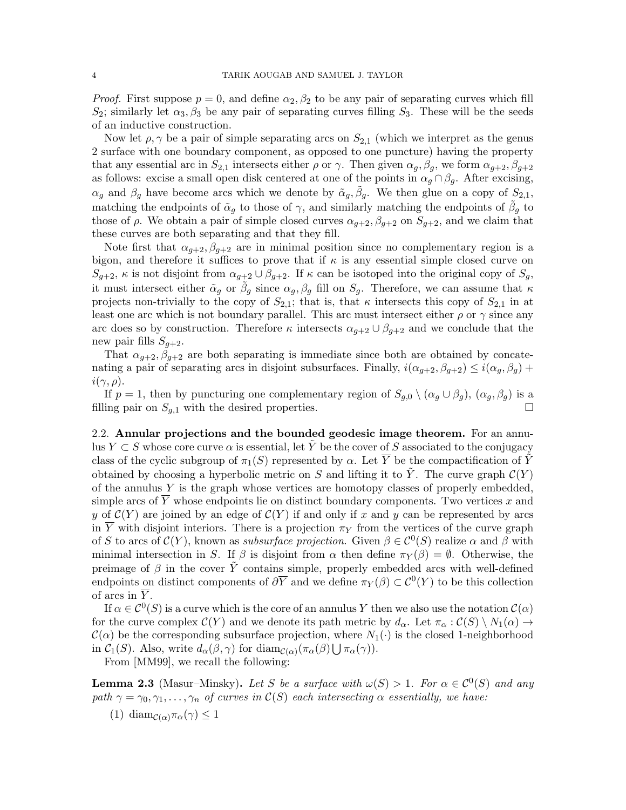*Proof.* First suppose  $p = 0$ , and define  $\alpha_2, \beta_2$  to be any pair of separating curves which fill  $S_2$ ; similarly let  $\alpha_3$ ,  $\beta_3$  be any pair of separating curves filling  $S_3$ . These will be the seeds of an inductive construction.

Now let  $\rho, \gamma$  be a pair of simple separating arcs on  $S_{2,1}$  (which we interpret as the genus 2 surface with one boundary component, as opposed to one puncture) having the property that any essential arc in  $S_{2,1}$  intersects either  $\rho$  or  $\gamma$ . Then given  $\alpha_q, \beta_q$ , we form  $\alpha_{q+2}, \beta_{q+2}$ as follows: excise a small open disk centered at one of the points in  $\alpha_g \cap \beta_g$ . After excising,  $\alpha_g$  and  $\beta_g$  have become arcs which we denote by  $\tilde{\alpha}_g$ ,  $\tilde{\beta}_g$ . We then glue on a copy of  $S_{2,1}$ , matching the endpoints of  $\tilde{\alpha}_g$  to those of  $\gamma$ , and similarly matching the endpoints of  $\tilde{\beta}_g$  to those of  $\rho$ . We obtain a pair of simple closed curves  $\alpha_{g+2}, \beta_{g+2}$  on  $S_{g+2}$ , and we claim that these curves are both separating and that they fill.

Note first that  $\alpha_{g+2}, \beta_{g+2}$  are in minimal position since no complementary region is a bigon, and therefore it suffices to prove that if  $\kappa$  is any essential simple closed curve on  $S_{g+2}$ ,  $\kappa$  is not disjoint from  $\alpha_{g+2} \cup \beta_{g+2}$ . If  $\kappa$  can be isotoped into the original copy of  $S_g$ , it must intersect either  $\tilde{\alpha}_g$  or  $\tilde{\beta}_g$  since  $\alpha_g$ ,  $\beta_g$  fill on  $S_g$ . Therefore, we can assume that  $\kappa$ projects non-trivially to the copy of  $S_{2,1}$ ; that is, that  $\kappa$  intersects this copy of  $S_{2,1}$  in at least one arc which is not boundary parallel. This arc must intersect either  $\rho$  or  $\gamma$  since any arc does so by construction. Therefore  $\kappa$  intersects  $\alpha_{g+2} \cup \beta_{g+2}$  and we conclude that the new pair fills  $S_{q+2}$ .

That  $\alpha_{g+2}, \beta_{g+2}$  are both separating is immediate since both are obtained by concatenating a pair of separating arcs in disjoint subsurfaces. Finally,  $i(\alpha_{q+2}, \beta_{q+2}) \leq i(\alpha_q, \beta_q) +$  $i(\gamma, \rho)$ .

If  $p = 1$ , then by puncturing one complementary region of  $S_{q,0} \setminus (\alpha_q \cup \beta_q)$ ,  $(\alpha_q, \beta_q)$  is a filling pair on  $S_{g,1}$  with the desired properties.

2.2. Annular projections and the bounded geodesic image theorem. For an annulus  $Y \subset S$  whose core curve  $\alpha$  is essential, let Y be the cover of S associated to the conjugacy class of the cyclic subgroup of  $\pi_1(S)$  represented by  $\alpha$ . Let  $\overline{Y}$  be the compactification of  $\tilde{Y}$ obtained by choosing a hyperbolic metric on S and lifting it to  $\tilde{Y}$ . The curve graph  $\mathcal{C}(Y)$ of the annulus  $Y$  is the graph whose vertices are homotopy classes of properly embedded, simple arcs of  $\overline{Y}$  whose endpoints lie on distinct boundary components. Two vertices x and y of  $C(Y)$  are joined by an edge of  $C(Y)$  if and only if x and y can be represented by arcs in  $\overline{Y}$  with disjoint interiors. There is a projection  $\pi_Y$  from the vertices of the curve graph of S to arcs of  $\mathcal{C}(Y)$ , known as subsurface projection. Given  $\beta \in \mathcal{C}^0(S)$  realize  $\alpha$  and  $\beta$  with minimal intersection in S. If  $\beta$  is disjoint from  $\alpha$  then define  $\pi_Y(\beta) = \emptyset$ . Otherwise, the preimage of  $\beta$  in the cover  $\tilde{Y}$  contains simple, properly embedded arcs with well-defined endpoints on distinct components of  $\partial \overline{Y}$  and we define  $\pi_Y(\beta) \subset C^0(Y)$  to be this collection of arcs in  $\overline{Y}$ .

If  $\alpha \in C^0(S)$  is a curve which is the core of an annulus Y then we also use the notation  $C(\alpha)$ for the curve complex  $\mathcal{C}(Y)$  and we denote its path metric by  $d_{\alpha}$ . Let  $\pi_{\alpha} : \mathcal{C}(S) \setminus N_1(\alpha) \to$  $\mathcal{C}(\alpha)$  be the corresponding subsurface projection, where  $N_1(\cdot)$  is the closed 1-neighborhood in  $C_1(S)$ . Also, write  $d_{\alpha}(\beta, \gamma)$  for  $\text{diam}_{\mathcal{C}(\alpha)}(\pi_{\alpha}(\beta) \bigcup \pi_{\alpha}(\gamma)).$ 

From [MM99], we recall the following:

**Lemma 2.3** (Masur–Minsky). Let S be a surface with  $\omega(S) > 1$ . For  $\alpha \in C^0(S)$  and any path  $\gamma = \gamma_0, \gamma_1, \ldots, \gamma_n$  of curves in  $\mathcal{C}(S)$  each intersecting  $\alpha$  essentially, we have:

(1) diam $c(\alpha) \pi_\alpha(\gamma) \leq 1$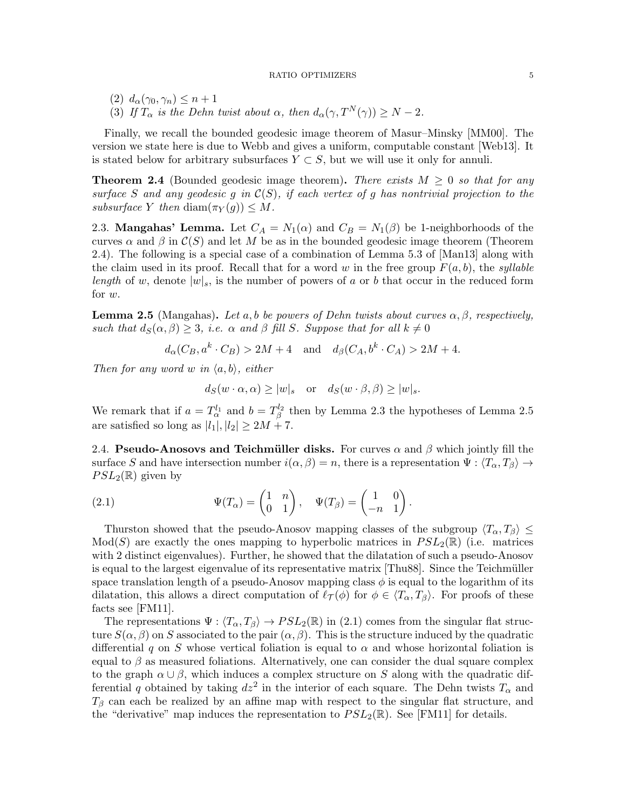(2)  $d_{\alpha}(\gamma_0, \gamma_n) \leq n+1$ (3) If  $T_{\alpha}$  is the Dehn twist about  $\alpha$ , then  $d_{\alpha}(\gamma, T^{N}(\gamma)) \geq N - 2$ .

Finally, we recall the bounded geodesic image theorem of Masur–Minsky [MM00]. The version we state here is due to Webb and gives a uniform, computable constant [Web13]. It is stated below for arbitrary subsurfaces  $Y \subset S$ , but we will use it only for annuli.

**Theorem 2.4** (Bounded geodesic image theorem). There exists  $M \geq 0$  so that for any surface S and any geodesic g in  $\mathcal{C}(S)$ , if each vertex of g has nontrivial projection to the subsurface Y then diam $(\pi_Y(g)) \leq M$ .

2.3. **Mangahas' Lemma.** Let  $C_A = N_1(\alpha)$  and  $C_B = N_1(\beta)$  be 1-neighborhoods of the curves  $\alpha$  and  $\beta$  in  $\mathcal{C}(S)$  and let M be as in the bounded geodesic image theorem (Theorem 2.4). The following is a special case of a combination of Lemma 5.3 of [Man13] along with the claim used in its proof. Recall that for a word w in the free group  $F(a, b)$ , the syllable length of w, denote  $|w|_s$ , is the number of powers of a or b that occur in the reduced form for w.

**Lemma 2.5** (Mangahas). Let a, b be powers of Dehn twists about curves  $\alpha, \beta$ , respectively, such that  $d_S(\alpha, \beta) \geq 3$ , i.e.  $\alpha$  and  $\beta$  fill S. Suppose that for all  $k \neq 0$ 

 $d_{\alpha}(C_B, a^k \cdot C_B) > 2M + 4$  and  $d_{\beta}(C_A, b^k \cdot C_A) > 2M + 4$ .

Then for any word w in  $\langle a, b \rangle$ , either

 $d_S(w \cdot \alpha, \alpha) \geq |w|_s$  or  $d_S(w \cdot \beta, \beta) \geq |w|_s$ .

We remark that if  $a = T_{\alpha}^{l_1}$  and  $b = T_{\beta}^{l_2}$  then by Lemma 2.3 the hypotheses of Lemma 2.5 are satisfied so long as  $|l_1|, |l_2| \geq 2M + 7$ .

2.4. Pseudo-Anosovs and Teichmüller disks. For curves  $\alpha$  and  $\beta$  which jointly fill the surface S and have intersection number  $i(\alpha, \beta) = n$ , there is a representation  $\Psi : \langle T_\alpha, T_\beta \rangle \to$  $PSL_2(\mathbb{R})$  given by

(2.1) 
$$
\Psi(T_{\alpha}) = \begin{pmatrix} 1 & n \\ 0 & 1 \end{pmatrix}, \quad \Psi(T_{\beta}) = \begin{pmatrix} 1 & 0 \\ -n & 1 \end{pmatrix}.
$$

Thurston showed that the pseudo-Anosov mapping classes of the subgroup  $\langle T_{\alpha}, T_{\beta} \rangle \leq$  $Mod(S)$  are exactly the ones mapping to hyperbolic matrices in  $PSL_2(\mathbb{R})$  (i.e. matrices with 2 distinct eigenvalues). Further, he showed that the dilatation of such a pseudo-Anosov is equal to the largest eigenvalue of its representative matrix [Thu88]. Since the Teichmüller space translation length of a pseudo-Anosov mapping class  $\phi$  is equal to the logarithm of its dilatation, this allows a direct computation of  $\ell_{\mathcal{T}}(\phi)$  for  $\phi \in \langle T_{\alpha}, T_{\beta} \rangle$ . For proofs of these facts see [FM11].

The representations  $\Psi : \langle T_\alpha, T_\beta \rangle \to PSL_2(\mathbb{R})$  in (2.1) comes from the singular flat structure  $S(\alpha, \beta)$  on S associated to the pair  $(\alpha, \beta)$ . This is the structure induced by the quadratic differential q on S whose vertical foliation is equal to  $\alpha$  and whose horizontal foliation is equal to  $\beta$  as measured foliations. Alternatively, one can consider the dual square complex to the graph  $\alpha \cup \beta$ , which induces a complex structure on S along with the quadratic differential q obtained by taking  $dz^2$  in the interior of each square. The Dehn twists  $T_{\alpha}$  and  $T_\beta$  can each be realized by an affine map with respect to the singular flat structure, and the "derivative" map induces the representation to  $PSL_2(\mathbb{R})$ . See [FM11] for details.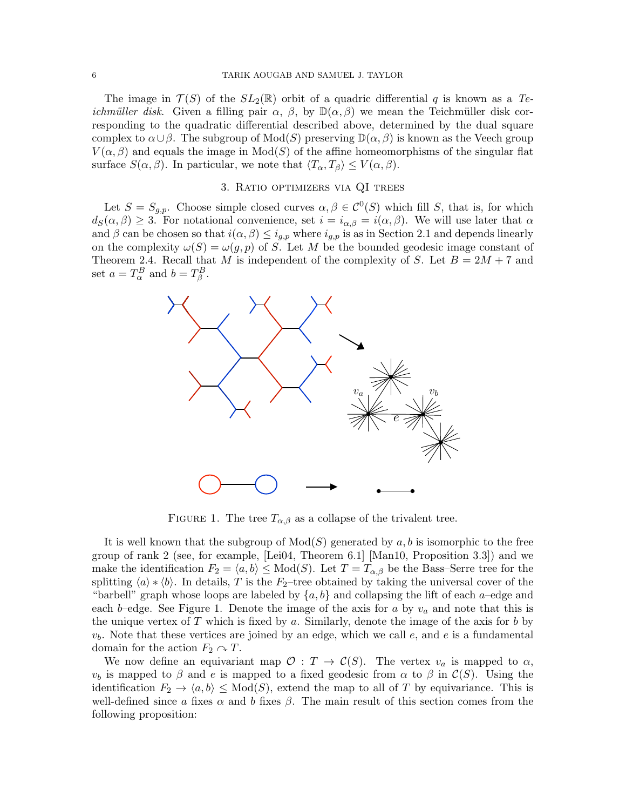The image in  $\mathcal{T}(S)$  of the  $SL_2(\mathbb{R})$  orbit of a quadric differential q is known as a Teichmüller disk. Given a filling pair  $\alpha$ ,  $\beta$ , by  $\mathbb{D}(\alpha,\beta)$  we mean the Teichmüller disk corresponding to the quadratic differential described above, determined by the dual square complex to  $\alpha \cup \beta$ . The subgroup of  $Mod(S)$  preserving  $\mathbb{D}(\alpha, \beta)$  is known as the Veech group  $V(\alpha, \beta)$  and equals the image in  $Mod(S)$  of the affine homeomorphisms of the singular flat surface  $S(\alpha, \beta)$ . In particular, we note that  $\langle T_{\alpha}, T_{\beta} \rangle \leq V(\alpha, \beta)$ .

## 3. Ratio optimizers via QI trees

Let  $S = S_{g,p}$ . Choose simple closed curves  $\alpha, \beta \in C^{0}(S)$  which fill S, that is, for which  $d_S(\alpha, \beta) \geq 3$ . For notational convenience, set  $i = i_{\alpha, \beta} = i(\alpha, \beta)$ . We will use later that  $\alpha$ and  $\beta$  can be chosen so that  $i(\alpha, \beta) \leq i_{g,p}$  where  $i_{g,p}$  is as in Section 2.1 and depends linearly on the complexity  $\omega(S) = \omega(g, p)$  of S. Let M be the bounded geodesic image constant of Theorem 2.4. Recall that M is independent of the complexity of S. Let  $B = 2M + 7$  and set  $a = T^B_\alpha$  and  $b = T^B_\beta$ .



FIGURE 1. The tree  $T_{\alpha,\beta}$  as a collapse of the trivalent tree.

It is well known that the subgroup of  $Mod(S)$  generated by a, b is isomorphic to the free group of rank 2 (see, for example, [Lei04, Theorem 6.1] [Man10, Proposition 3.3]) and we make the identification  $F_2 = \langle a, b \rangle \leq Mod(S)$ . Let  $T = T_{\alpha, \beta}$  be the Bass–Serre tree for the splitting  $\langle a \rangle * \langle b \rangle$ . In details, T is the F<sub>2</sub>–tree obtained by taking the universal cover of the "barbell" graph whose loops are labeled by  $\{a, b\}$  and collapsing the lift of each a–edge and each b–edge. See Figure 1. Denote the image of the axis for a by  $v_a$  and note that this is the unique vertex of  $T$  which is fixed by  $a$ . Similarly, denote the image of the axis for  $b$  by  $v<sub>b</sub>$ . Note that these vertices are joined by an edge, which we call  $e$ , and  $e$  is a fundamental domain for the action  $F_2 \curvearrowright T$ .

We now define an equivariant map  $\mathcal{O}: T \to \mathcal{C}(S)$ . The vertex  $v_a$  is mapped to  $\alpha$ ,  $v_b$  is mapped to β and e is mapped to a fixed geodesic from  $\alpha$  to β in  $\mathcal{C}(S)$ . Using the identification  $F_2 \to \langle a, b \rangle \leq Mod(S)$ , extend the map to all of T by equivariance. This is well-defined since a fixes  $\alpha$  and b fixes  $\beta$ . The main result of this section comes from the following proposition: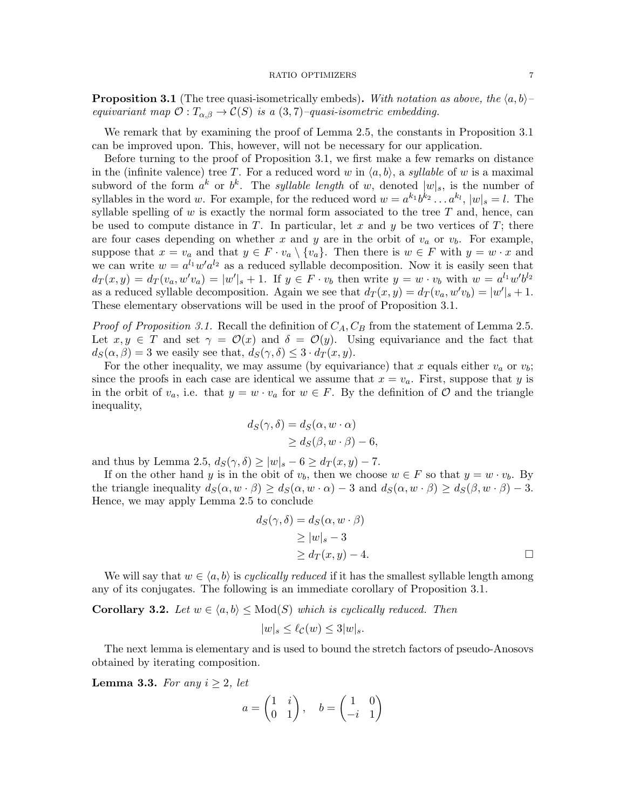**Proposition 3.1** (The tree quasi-isometrically embeds). With notation as above, the  $\langle a, b \rangle$ – equivariant map  $\mathcal{O}: T_{\alpha,\beta} \to \mathcal{C}(S)$  is a  $(3,7)$ -quasi-isometric embedding.

We remark that by examining the proof of Lemma 2.5, the constants in Proposition 3.1 can be improved upon. This, however, will not be necessary for our application.

Before turning to the proof of Proposition 3.1, we first make a few remarks on distance in the (infinite valence) tree T. For a reduced word w in  $\langle a, b \rangle$ , a syllable of w is a maximal subword of the form  $a^k$  or  $b^k$ . The *syllable length* of w, denoted  $|w|_s$ , is the number of syllables in the word w. For example, for the reduced word  $w = a^{k_1}b^{k_2} \dots a^{k_l}$ ,  $|w|_s = l$ . The syllable spelling of w is exactly the normal form associated to the tree  $T$  and, hence, can be used to compute distance in T. In particular, let x and y be two vertices of T; there are four cases depending on whether x and y are in the orbit of  $v_a$  or  $v_b$ . For example, suppose that  $x = v_a$  and that  $y \in F \cdot v_a \setminus \{v_a\}$ . Then there is  $w \in F$  with  $y = w \cdot x$  and we can write  $w = a^{l_1} w' a^{l_2}$  as a reduced syllable decomposition. Now it is easily seen that  $d_T(x,y) = d_T(v_a, w'v_a) = |w'|_s + 1$ . If  $y \in F \cdot v_b$  then write  $y = w \cdot v_b$  with  $w = a^{l_1}w'b^{l_2}$ as a reduced syllable decomposition. Again we see that  $d_T(x, y) = d_T(v_a, w'v_b) = |w'|_s + 1$ . These elementary observations will be used in the proof of Proposition 3.1.

*Proof of Proposition 3.1.* Recall the definition of  $C_A$ ,  $C_B$  from the statement of Lemma 2.5. Let  $x, y \in T$  and set  $\gamma = \mathcal{O}(x)$  and  $\delta = \mathcal{O}(y)$ . Using equivariance and the fact that  $d_S(\alpha, \beta) = 3$  we easily see that,  $d_S(\gamma, \delta) \leq 3 \cdot d_T(x, y)$ .

For the other inequality, we may assume (by equivariance) that x equals either  $v_a$  or  $v_b$ ; since the proofs in each case are identical we assume that  $x = v_a$ . First, suppose that y is in the orbit of  $v_a$ , i.e. that  $y = w \cdot v_a$  for  $w \in F$ . By the definition of  $\mathcal O$  and the triangle inequality,

$$
d_S(\gamma, \delta) = d_S(\alpha, w \cdot \alpha)
$$
  
 
$$
\geq d_S(\beta, w \cdot \beta) - 6,
$$

and thus by Lemma 2.5,  $d_S(\gamma, \delta) \ge |w|_s - 6 \ge d_T(x, y) - 7$ .

If on the other hand y is in the obit of  $v<sub>b</sub>$ , then we choose  $w \in F$  so that  $y = w \cdot v<sub>b</sub>$ . By the triangle inequality  $d_S(\alpha, w \cdot \beta) \geq d_S(\alpha, w \cdot \alpha) - 3$  and  $d_S(\alpha, w \cdot \beta) \geq d_S(\beta, w \cdot \beta) - 3$ . Hence, we may apply Lemma 2.5 to conclude

$$
d_S(\gamma, \delta) = d_S(\alpha, w \cdot \beta)
$$
  
\n
$$
\ge |w|_{s} - 3
$$
  
\n
$$
\ge d_T(x, y) - 4.
$$

We will say that  $w \in \langle a, b \rangle$  is cyclically reduced if it has the smallest syllable length among any of its conjugates. The following is an immediate corollary of Proposition 3.1.

**Corollary 3.2.** Let  $w \in \langle a, b \rangle \leq Mod(S)$  which is cyclically reduced. Then

$$
|w|_s \le \ell_{\mathcal{C}}(w) \le 3|w|_s.
$$

The next lemma is elementary and is used to bound the stretch factors of pseudo-Anosovs obtained by iterating composition.

**Lemma 3.3.** For any  $i \geq 2$ , let

$$
a = \begin{pmatrix} 1 & i \\ 0 & 1 \end{pmatrix}, \quad b = \begin{pmatrix} 1 & 0 \\ -i & 1 \end{pmatrix}
$$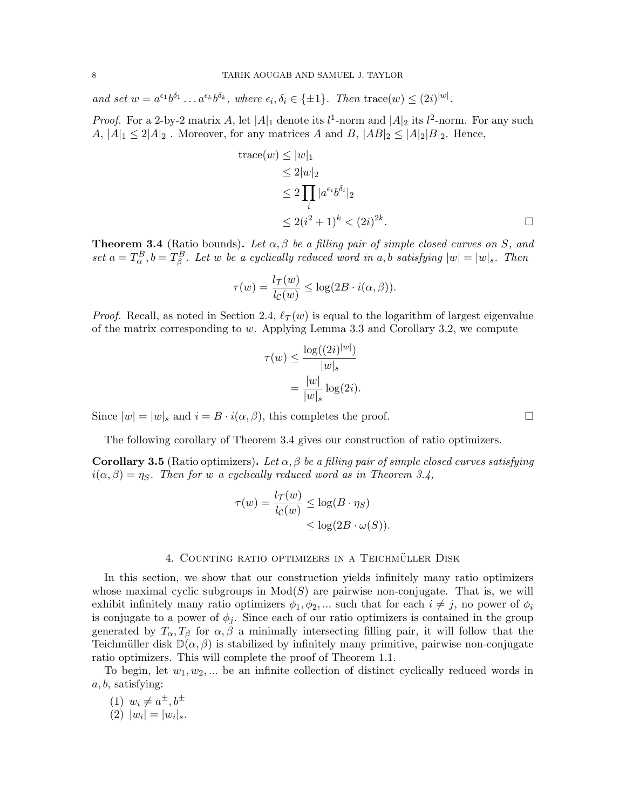and set  $w = a^{\epsilon_1}b^{\delta_1} \dots a^{\epsilon_k}b^{\delta_k}$ , where  $\epsilon_i, \delta_i \in \{\pm 1\}$ . Then  $\text{trace}(w) \leq (2i)^{|w|}$ .

*Proof.* For a 2-by-2 matrix A, let  $|A|_1$  denote its  $l^1$ -norm and  $|A|_2$  its  $l^2$ -norm. For any such  $A, |A|_1 \leq 2|A|_2$ . Moreover, for any matrices A and B,  $|AB|_2 \leq |A|_2|B|_2$ . Hence,

trace
$$
(w)
$$
  $\leq |w|_1$   
\n $\leq 2|w|_2$   
\n $\leq 2 \prod_i |a^{\epsilon_i} b^{\delta_i}|_2$   
\n $\leq 2(i^2 + 1)^k < (2i)^{2k}$ .

**Theorem 3.4** (Ratio bounds). Let  $\alpha, \beta$  be a filling pair of simple closed curves on S, and set  $a = T_{\alpha}^{B}$ ,  $b = T_{\beta}^{B}$ . Let w be a cyclically reduced word in a, b satisfying  $|w| = |w|_s$ . Then

$$
\tau(w) = \frac{l\tau(w)}{l_{\mathcal{C}}(w)} \le \log(2B \cdot i(\alpha, \beta)).
$$

*Proof.* Recall, as noted in Section 2.4,  $\ell_{\mathcal{T}}(w)$  is equal to the logarithm of largest eigenvalue of the matrix corresponding to  $w$ . Applying Lemma 3.3 and Corollary 3.2, we compute

$$
\tau(w) \le \frac{\log((2i)^{|w|})}{|w|_s}
$$

$$
= \frac{|w|}{|w|_s} \log(2i).
$$

Since  $|w| = |w|_s$  and  $i = B \cdot i(\alpha, \beta)$ , this completes the proof.

The following corollary of Theorem 3.4 gives our construction of ratio optimizers.

**Corollary 3.5** (Ratio optimizers). Let  $\alpha$ ,  $\beta$  be a filling pair of simple closed curves satisfying  $i(\alpha, \beta) = \eta_S$ . Then for w a cyclically reduced word as in Theorem 3.4,

$$
\tau(w) = \frac{l\tau(w)}{l_c(w)} \le \log(B \cdot \eta_S)
$$
  

$$
\le \log(2B \cdot \omega(S)).
$$

## 4. COUNTING RATIO OPTIMIZERS IN A TEICHMÜLLER DISK

In this section, we show that our construction yields infinitely many ratio optimizers whose maximal cyclic subgroups in  $Mod(S)$  are pairwise non-conjugate. That is, we will exhibit infinitely many ratio optimizers  $\phi_1, \phi_2, \dots$  such that for each  $i \neq j$ , no power of  $\phi_i$ is conjugate to a power of  $\phi_j$ . Since each of our ratio optimizers is contained in the group generated by  $T_{\alpha}, T_{\beta}$  for  $\alpha, \beta$  a minimally intersecting filling pair, it will follow that the Teichmüller disk  $\mathbb{D}(\alpha, \beta)$  is stabilized by infinitely many primitive, pairwise non-conjugate ratio optimizers. This will complete the proof of Theorem 1.1.

To begin, let  $w_1, w_2, \ldots$  be an infinite collection of distinct cyclically reduced words in  $a, b$ , satisfying:

(1)  $w_i \neq a^{\pm}, b^{\pm}$ (2)  $|w_i| = |w_i|_s$ .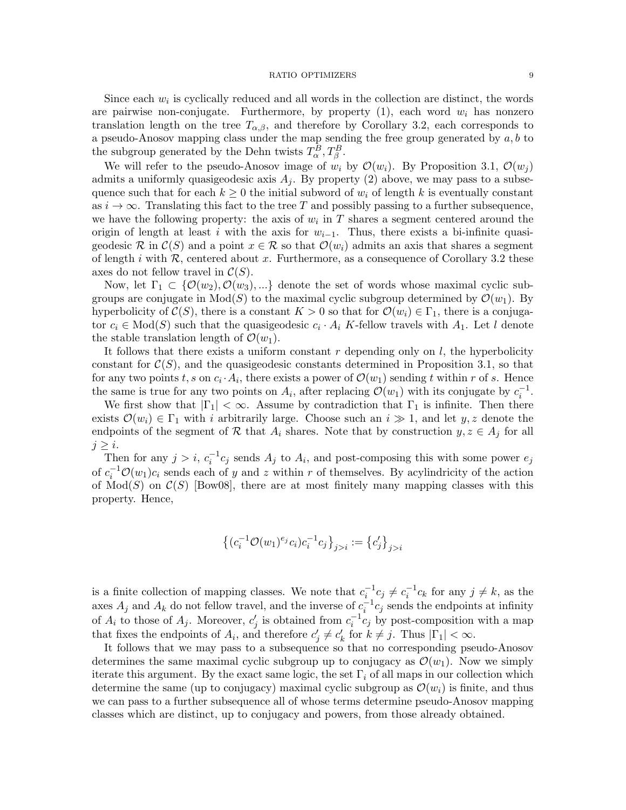#### RATIO OPTIMIZERS 9

Since each  $w_i$  is cyclically reduced and all words in the collection are distinct, the words are pairwise non-conjugate. Furthermore, by property  $(1)$ , each word  $w<sub>i</sub>$  has nonzero translation length on the tree  $T_{\alpha,\beta}$ , and therefore by Corollary 3.2, each corresponds to a pseudo-Anosov mapping class under the map sending the free group generated by  $a, b$  to the subgroup generated by the Dehn twists  $T_{\alpha}^{B}$ ,  $T_{\beta}^{B}$ .

We will refer to the pseudo-Anosov image of  $w_i$  by  $\mathcal{O}(w_i)$ . By Proposition 3.1,  $\mathcal{O}(w_i)$ admits a uniformly quasigeodesic axis  $A_i$ . By property (2) above, we may pass to a subsequence such that for each  $k \geq 0$  the initial subword of  $w_i$  of length k is eventually constant as  $i \to \infty$ . Translating this fact to the tree T and possibly passing to a further subsequence, we have the following property: the axis of  $w_i$  in T shares a segment centered around the origin of length at least i with the axis for  $w_{i-1}$ . Thus, there exists a bi-infinite quasigeodesic R in  $\mathcal{C}(S)$  and a point  $x \in \mathcal{R}$  so that  $\mathcal{O}(w_i)$  admits an axis that shares a segment of length i with  $R$ , centered about x. Furthermore, as a consequence of Corollary 3.2 these axes do not fellow travel in  $C(S)$ .

Now, let  $\Gamma_1 \subset \{O(w_2), O(w_3), ...\}$  denote the set of words whose maximal cyclic subgroups are conjugate in  $Mod(S)$  to the maximal cyclic subgroup determined by  $\mathcal{O}(w_1)$ . By hyperbolicity of  $\mathcal{C}(S)$ , there is a constant  $K > 0$  so that for  $\mathcal{O}(w_i) \in \Gamma_1$ , there is a conjugator  $c_i \in Mod(S)$  such that the quasigeodesic  $c_i \cdot A_i$  K-fellow travels with  $A_1$ . Let l denote the stable translation length of  $\mathcal{O}(w_1)$ .

It follows that there exists a uniform constant  $r$  depending only on  $l$ , the hyperbolicity constant for  $C(S)$ , and the quasigeodesic constants determined in Proposition 3.1, so that for any two points t, s on  $c_i \cdot A_i$ , there exists a power of  $\mathcal{O}(w_1)$  sending t within r of s. Hence the same is true for any two points on  $A_i$ , after replacing  $\mathcal{O}(w_1)$  with its conjugate by  $c_i^{-1}$ .

We first show that  $|\Gamma_1| < \infty$ . Assume by contradiction that  $\Gamma_1$  is infinite. Then there exists  $\mathcal{O}(w_i) \in \Gamma_1$  with i arbitrarily large. Choose such an  $i \gg 1$ , and let y, z denote the endpoints of the segment of R that  $A_i$  shares. Note that by construction  $y, z \in A_j$  for all  $j \geq i$ .

Then for any  $j > i$ ,  $c_i^{-1}c_j$  sends  $A_j$  to  $A_i$ , and post-composing this with some power  $e_j$ of  $c_i^{-1} \mathcal{O}(w_1)c_i$  sends each of y and z within r of themselves. By acylindricity of the action of  $Mod(S)$  on  $C(S)$  [Bow08], there are at most finitely many mapping classes with this property. Hence,

$$
\left\{ (c_i^{-1} \mathcal{O}(w_1)^{e_j} c_i) c_i^{-1} c_j \right\}_{j>i} := \left\{ c'_j \right\}_{j>i}
$$

is a finite collection of mapping classes. We note that  $c_i^{-1}c_j \neq c_i^{-1}c_k$  for any  $j \neq k$ , as the axes  $A_j$  and  $A_k$  do not fellow travel, and the inverse of  $c_i^{-1}c_j$  sends the endpoints at infinity of  $A_i$  to those of  $A_j$ . Moreover,  $c'_j$  is obtained from  $c_i^{-1}c_j$  by post-composition with a map that fixes the endpoints of  $A_i$ , and therefore  $c'_j \neq c'_k$  for  $k \neq j$ . Thus  $|\Gamma_1| < \infty$ .

It follows that we may pass to a subsequence so that no corresponding pseudo-Anosov determines the same maximal cyclic subgroup up to conjugacy as  $\mathcal{O}(w_1)$ . Now we simply iterate this argument. By the exact same logic, the set  $\Gamma_i$  of all maps in our collection which determine the same (up to conjugacy) maximal cyclic subgroup as  $\mathcal{O}(w_i)$  is finite, and thus we can pass to a further subsequence all of whose terms determine pseudo-Anosov mapping classes which are distinct, up to conjugacy and powers, from those already obtained.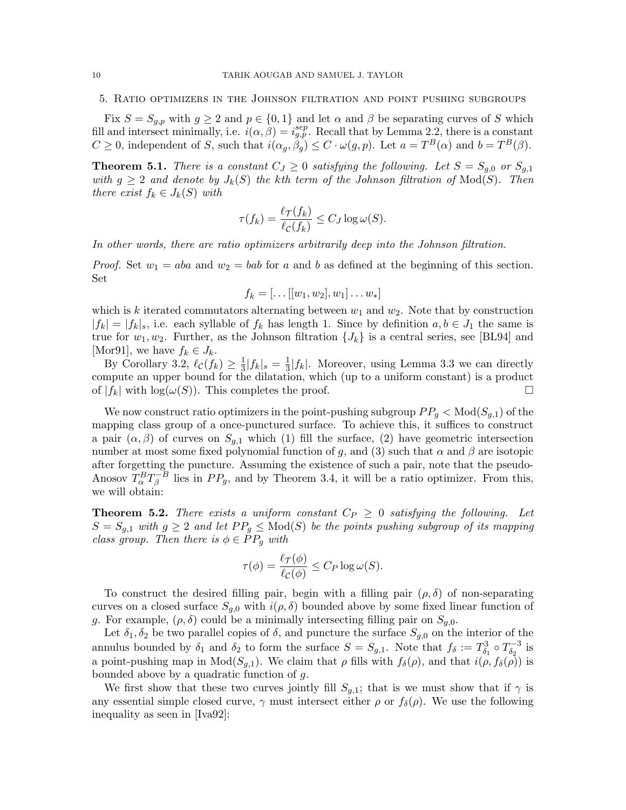5. Ratio optimizers in the Johnson filtration and point pushing subgroups

Fix  $S = S_{g,p}$  with  $g \geq 2$  and  $p \in \{0,1\}$  and let  $\alpha$  and  $\beta$  be separating curves of S which fill and intersect minimally, i.e.  $i(\alpha, \beta) = i_{g,p}^{sep}$ . Recall that by Lemma 2.2, there is a constant  $C \geq 0$ , independent of S, such that  $i(\alpha_g, \beta_g) \leq C \cdot \omega(g, p)$ . Let  $a = T^B(\alpha)$  and  $b = T^B(\beta)$ .

**Theorem 5.1.** There is a constant  $C_J \geq 0$  satisfying the following. Let  $S = S_{g,0}$  or  $S_{g,1}$ with  $g \geq 2$  and denote by  $J_k(S)$  the kth term of the Johnson filtration of  $Mod(S)$ . Then there exist  $f_k \in J_k(S)$  with

$$
\tau(f_k) = \frac{\ell \tau(f_k)}{\ell c(f_k)} \le C_J \log \omega(S).
$$

In other words, there are ratio optimizers arbitrarily deep into the Johnson filtration.

*Proof.* Set  $w_1 = aba$  and  $w_2 = bab$  for a and b as defined at the beginning of this section. Set

$$
f_k = [\dots[[w_1, w_2], w_1] \dots w_*]
$$

which is k iterated commutators alternating between  $w_1$  and  $w_2$ . Note that by construction  $|f_k| = |f_k|_s$ , i.e. each syllable of  $f_k$  has length 1. Since by definition  $a, b \in J_1$  the same is true for  $w_1, w_2$ . Further, as the Johnson filtration  $\{J_k\}$  is a central series, see [BL94] and [Mor91], we have  $f_k \in J_k$ .

By Corollary 3.2,  $\ell_{\mathcal{C}}(f_k) \geq \frac{1}{3}$  $\frac{1}{3}|f_k|_s = \frac{1}{3}$  $\frac{1}{3}|f_k|$ . Moreover, using Lemma 3.3 we can directly compute an upper bound for the dilatation, which (up to a uniform constant) is a product of  $|f_k|$  with  $\log(\omega(S))$ . This completes the proof.

We now construct ratio optimizers in the point-pushing subgroup  $PP_g < Mod(S_{g,1})$  of the mapping class group of a once-punctured surface. To achieve this, it suffices to construct a pair  $(\alpha, \beta)$  of curves on  $S_{q,1}$  which (1) fill the surface, (2) have geometric intersection number at most some fixed polynomial function of g, and (3) such that  $\alpha$  and  $\beta$  are isotopic after forgetting the puncture. Assuming the existence of such a pair, note that the pseudo-Anosov  $T_{\alpha}^{B}T_{\beta}^{-B}$  $E_{\beta}^{-B}$  lies in  $PP_g$ , and by Theorem 3.4, it will be a ratio optimizer. From this, we will obtain:

**Theorem 5.2.** There exists a uniform constant  $C_P \geq 0$  satisfying the following. Let  $S = S_{q,1}$  with  $q \geq 2$  and let  $PP_q \leq \text{Mod}(S)$  be the points pushing subgroup of its mapping class group. Then there is  $\phi \in PP_q$  with

$$
\tau(\phi) = \frac{\ell_{\mathcal{T}}(\phi)}{\ell_{\mathcal{C}}(\phi)} \leq C_P \log \omega(S).
$$

To construct the desired filling pair, begin with a filling pair  $(\rho, \delta)$  of non-separating curves on a closed surface  $S_{g,0}$  with  $i(\rho, \delta)$  bounded above by some fixed linear function of g. For example,  $(\rho, \delta)$  could be a minimally intersecting filling pair on  $S_{q,0}$ .

Let  $\delta_1, \delta_2$  be two parallel copies of  $\delta$ , and puncture the surface  $S_{g,0}$  on the interior of the annulus bounded by  $\delta_1$  and  $\delta_2$  to form the surface  $S = S_{g,1}$ . Note that  $f_{\delta} := T_{\delta_1}^3 \circ T_{\delta_2}^{-3}$  $\delta_2^{(-3)}$  is a point-pushing map in  $Mod(S_{q,1})$ . We claim that  $\rho$  fills with  $f_\delta(\rho)$ , and that  $i(\rho, f_\delta(\rho))$  is bounded above by a quadratic function of  $g$ .

We first show that these two curves jointly fill  $S_{g,1}$ ; that is we must show that if  $\gamma$  is any essential simple closed curve,  $\gamma$  must intersect either  $\rho$  or  $f_{\delta}(\rho)$ . We use the following inequality as seen in [Iva92]: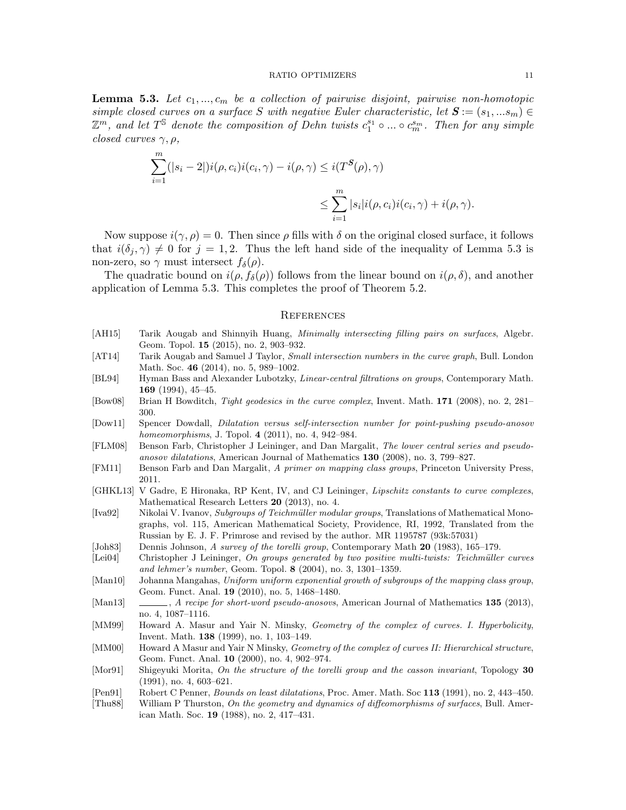#### RATIO OPTIMIZERS 11

**Lemma 5.3.** Let  $c_1, ..., c_m$  be a collection of pairwise disjoint, pairwise non-homotopic simple closed curves on a surface S with negative Euler characteristic, let  $S := (s_1, ... s_m) \in$  $\mathbb{Z}^m$ , and let  $T^{\mathbb{S}}$  denote the composition of Dehn twists  $c_1^{s_1} \circ ... \circ c_m^{s_m}$ . Then for any simple closed curves  $\gamma, \rho,$ 

$$
\sum_{i=1}^{m} (|s_i - 2|) i(\rho, c_i) i(c_i, \gamma) - i(\rho, \gamma) \le i(T^{\mathcal{S}}(\rho), \gamma)
$$
  

$$
\le \sum_{i=1}^{m} |s_i| i(\rho, c_i) i(c_i, \gamma) + i(\rho, \gamma).
$$

Now suppose  $i(\gamma, \rho) = 0$ . Then since  $\rho$  fills with  $\delta$  on the original closed surface, it follows that  $i(\delta_j, \gamma) \neq 0$  for  $j = 1, 2$ . Thus the left hand side of the inequality of Lemma 5.3 is non-zero, so  $\gamma$  must intersect  $f_{\delta}(\rho)$ .

The quadratic bound on  $i(\rho, f_\delta(\rho))$  follows from the linear bound on  $i(\rho, \delta)$ , and another application of Lemma 5.3. This completes the proof of Theorem 5.2.

## **REFERENCES**

- [AH15] Tarik Aougab and Shinnyih Huang, *Minimally intersecting filling pairs on surfaces*, Algebr. Geom. Topol. 15 (2015), no. 2, 903–932.
- [AT14] Tarik Aougab and Samuel J Taylor, *Small intersection numbers in the curve graph*, Bull. London Math. Soc. 46 (2014), no. 5, 989–1002.
- [BL94] Hyman Bass and Alexander Lubotzky, *Linear-central filtrations on groups*, Contemporary Math. 169 (1994), 45–45.
- [Bow08] Brian H Bowditch, Tight geodesics in the curve complex, Invent. Math. 171 (2008), no. 2, 281– 300.
- [Dow11] Spencer Dowdall, Dilatation versus self-intersection number for point-pushing pseudo-anosov homeomorphisms, J. Topol. 4 (2011), no. 4, 942–984.
- [FLM08] Benson Farb, Christopher J Leininger, and Dan Margalit, The lower central series and pseudoanosov dilatations, American Journal of Mathematics 130 (2008), no. 3, 799–827.
- [FM11] Benson Farb and Dan Margalit, A primer on mapping class groups, Princeton University Press, 2011.
- [GHKL13] V Gadre, E Hironaka, RP Kent, IV, and CJ Leininger, *Lipschitz constants to curve complexes*, Mathematical Research Letters 20 (2013), no. 4.
- [Iva92] Nikolai V. Ivanov, Subgroups of Teichm¨uller modular groups, Translations of Mathematical Monographs, vol. 115, American Mathematical Society, Providence, RI, 1992, Translated from the Russian by E. J. F. Primrose and revised by the author. MR 1195787 (93k:57031)
- [Joh83] Dennis Johnson, A survey of the torelli group, Contemporary Math 20 (1983), 165–179.
- [Lei04] Christopher J Leininger, On groups generated by two positive multi-twists: Teichmüller curves and lehmer's number, Geom. Topol. 8 (2004), no. 3, 1301–1359.
- [Man10] Johanna Mangahas, Uniform uniform exponential growth of subgroups of the mapping class group, Geom. Funct. Anal. 19 (2010), no. 5, 1468–1480.
- [Man13] , A recipe for short-word pseudo-anosovs, American Journal of Mathematics 135 (2013), no. 4, 1087–1116.
- [MM99] Howard A. Masur and Yair N. Minsky, Geometry of the complex of curves. I. Hyperbolicity, Invent. Math. 138 (1999), no. 1, 103–149.
- [MM00] Howard A Masur and Yair N Minsky, *Geometry of the complex of curves II: Hierarchical structure*, Geom. Funct. Anal. 10 (2000), no. 4, 902–974.
- [Mor91] Shigeyuki Morita, On the structure of the torelli group and the casson invariant, Topology 30 (1991), no. 4, 603–621.
- [Pen91] Robert C Penner, Bounds on least dilatations, Proc. Amer. Math. Soc 113 (1991), no. 2, 443–450.
- [Thu88] William P Thurston, On the geometry and dynamics of diffeomorphisms of surfaces, Bull. American Math. Soc. 19 (1988), no. 2, 417–431.